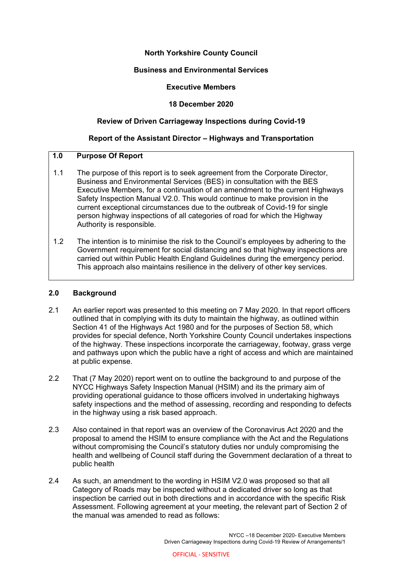# **North Yorkshire County Council**

## **Business and Environmental Services**

## **Executive Members**

## **18 December 2020**

## **Review of Driven Carriageway Inspections during Covid-19**

## **Report of the Assistant Director – Highways and Transportation**

# **1.0 Purpose Of Report**

- 1.1 The purpose of this report is to seek agreement from the Corporate Director, Business and Environmental Services (BES) in consultation with the BES Executive Members, for a continuation of an amendment to the current Highways Safety Inspection Manual V2.0. This would continue to make provision in the current exceptional circumstances due to the outbreak of Covid-19 for single person highway inspections of all categories of road for which the Highway Authority is responsible.
- 1.2 The intention is to minimise the risk to the Council's employees by adhering to the Government requirement for social distancing and so that highway inspections are carried out within Public Health England Guidelines during the emergency period. This approach also maintains resilience in the delivery of other key services.

#### **2.0 Background**

- 2.1 An earlier report was presented to this meeting on 7 May 2020. In that report officers outlined that in complying with its duty to maintain the highway, as outlined within Section 41 of the Highways Act 1980 and for the purposes of Section 58, which provides for special defence, North Yorkshire County Council undertakes inspections of the highway. These inspections incorporate the carriageway, footway, grass verge and pathways upon which the public have a right of access and which are maintained at public expense.
- 2.2 That (7 May 2020) report went on to outline the background to and purpose of the NYCC Highways Safety Inspection Manual (HSIM) and its the primary aim of providing operational guidance to those officers involved in undertaking highways safety inspections and the method of assessing, recording and responding to defects in the highway using a risk based approach.
- 2.3 Also contained in that report was an overview of the Coronavirus Act 2020 and the proposal to amend the HSIM to ensure compliance with the Act and the Regulations without compromising the Council's statutory duties nor unduly compromising the health and wellbeing of Council staff during the Government declaration of a threat to public health
- 2.4 As such, an amendment to the wording in HSIM V2.0 was proposed so that all Category of Roads may be inspected without a dedicated driver so long as that inspection be carried out in both directions and in accordance with the specific Risk Assessment. Following agreement at your meeting, the relevant part of Section 2 of the manual was amended to read as follows: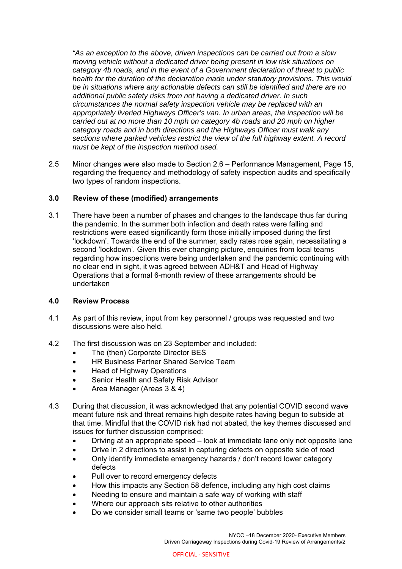*"As an exception to the above, driven inspections can be carried out from a slow moving vehicle without a dedicated driver being present in low risk situations on category 4b roads, and in the event of a Government declaration of threat to public health for the duration of the declaration made under statutory provisions. This would be in situations where any actionable defects can still be identified and there are no additional public safety risks from not having a dedicated driver. In such circumstances the normal safety inspection vehicle may be replaced with an appropriately liveried Highways Officer's van. In urban areas, the inspection will be carried out at no more than 10 mph on category 4b roads and 20 mph on higher category roads and in both directions and the Highways Officer must walk any sections where parked vehicles restrict the view of the full highway extent. A record must be kept of the inspection method used.* 

2.5 Minor changes were also made to Section 2.6 – Performance Management, Page 15, regarding the frequency and methodology of safety inspection audits and specifically two types of random inspections.

# **3.0 Review of these (modified) arrangements**

3.1 There have been a number of phases and changes to the landscape thus far during the pandemic. In the summer both infection and death rates were falling and restrictions were eased significantly form those initially imposed during the first 'lockdown'. Towards the end of the summer, sadly rates rose again, necessitating a second 'lockdown'. Given this ever changing picture, enquiries from local teams regarding how inspections were being undertaken and the pandemic continuing with no clear end in sight, it was agreed between ADH&T and Head of Highway Operations that a formal 6-month review of these arrangements should be undertaken

# **4.0 Review Process**

- 4.1 As part of this review, input from key personnel / groups was requested and two discussions were also held.
- 4.2 The first discussion was on 23 September and included:
	- The (then) Corporate Director BES
	- HR Business Partner Shared Service Team
	- Head of Highway Operations
	- Senior Health and Safety Risk Advisor
	- Area Manager (Areas 3 & 4)
- 4.3 During that discussion, it was acknowledged that any potential COVID second wave meant future risk and threat remains high despite rates having begun to subside at that time. Mindful that the COVID risk had not abated, the key themes discussed and issues for further discussion comprised:
	- Driving at an appropriate speed look at immediate lane only not opposite lane
	- Drive in 2 directions to assist in capturing defects on opposite side of road
	- Only identify immediate emergency hazards / don't record lower category defects
	- Pull over to record emergency defects
	- How this impacts any Section 58 defence, including any high cost claims
	- Needing to ensure and maintain a safe way of working with staff
	- Where our approach sits relative to other authorities
	- Do we consider small teams or 'same two people' bubbles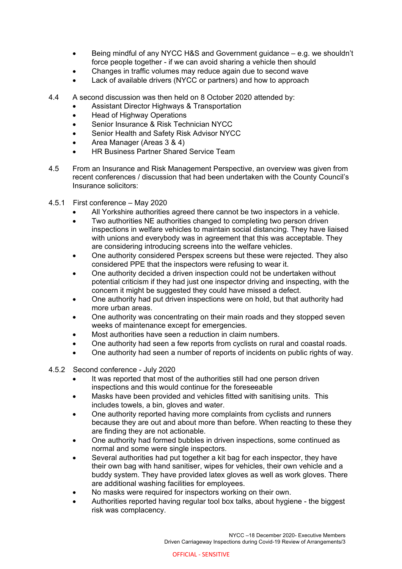- Being mindful of any NYCC H&S and Government guidance e.g. we shouldn't force people together - if we can avoid sharing a vehicle then should
- Changes in traffic volumes may reduce again due to second wave
- Lack of available drivers (NYCC or partners) and how to approach
- 4.4 A second discussion was then held on 8 October 2020 attended by:
	- Assistant Director Highways & Transportation
	- Head of Highway Operations
	- Senior Insurance & Risk Technician NYCC
	- Senior Health and Safety Risk Advisor NYCC
	- Area Manager (Areas 3 & 4)
	- HR Business Partner Shared Service Team
- 4.5 From an Insurance and Risk Management Perspective, an overview was given from recent conferences / discussion that had been undertaken with the County Council's Insurance solicitors:
- 4.5.1 First conference May 2020
	- All Yorkshire authorities agreed there cannot be two inspectors in a vehicle.
	- Two authorities NE authorities changed to completing two person driven inspections in welfare vehicles to maintain social distancing. They have liaised with unions and everybody was in agreement that this was acceptable. They are considering introducing screens into the welfare vehicles.
	- One authority considered Perspex screens but these were rejected. They also considered PPE that the inspectors were refusing to wear it.
	- One authority decided a driven inspection could not be undertaken without potential criticism if they had just one inspector driving and inspecting, with the concern it might be suggested they could have missed a defect.
	- One authority had put driven inspections were on hold, but that authority had more urban areas.
	- One authority was concentrating on their main roads and they stopped seven weeks of maintenance except for emergencies.
	- Most authorities have seen a reduction in claim numbers.
	- One authority had seen a few reports from cyclists on rural and coastal roads.
	- One authority had seen a number of reports of incidents on public rights of way.
- 4.5.2 Second conference July 2020
	- It was reported that most of the authorities still had one person driven inspections and this would continue for the foreseeable
	- Masks have been provided and vehicles fitted with sanitising units. This includes towels, a bin, gloves and water.
	- One authority reported having more complaints from cyclists and runners because they are out and about more than before. When reacting to these they are finding they are not actionable.
	- One authority had formed bubbles in driven inspections, some continued as normal and some were single inspectors.
	- Several authorities had put together a kit bag for each inspector, they have their own bag with hand sanitiser, wipes for vehicles, their own vehicle and a buddy system. They have provided latex gloves as well as work gloves. There are additional washing facilities for employees.
	- No masks were required for inspectors working on their own.
	- Authorities reported having regular tool box talks, about hygiene the biggest risk was complacency.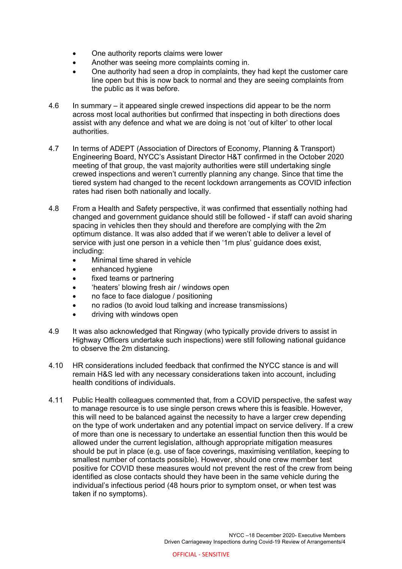- One authority reports claims were lower
- Another was seeing more complaints coming in.
- One authority had seen a drop in complaints, they had kept the customer care line open but this is now back to normal and they are seeing complaints from the public as it was before.
- 4.6 In summary it appeared single crewed inspections did appear to be the norm across most local authorities but confirmed that inspecting in both directions does assist with any defence and what we are doing is not 'out of kilter' to other local authorities.
- 4.7 In terms of ADEPT (Association of Directors of Economy, Planning & Transport) Engineering Board, NYCC's Assistant Director H&T confirmed in the October 2020 meeting of that group, the vast majority authorities were still undertaking single crewed inspections and weren't currently planning any change. Since that time the tiered system had changed to the recent lockdown arrangements as COVID infection rates had risen both nationally and locally.
- 4.8 From a Health and Safety perspective, it was confirmed that essentially nothing had changed and government guidance should still be followed - if staff can avoid sharing spacing in vehicles then they should and therefore are complying with the 2m optimum distance. It was also added that if we weren't able to deliver a level of service with just one person in a vehicle then '1m plus' guidance does exist, including:
	- Minimal time shared in vehicle
	- enhanced hygiene
	- fixed teams or partnering
	- 'heaters' blowing fresh air / windows open
	- no face to face dialogue / positioning
	- no radios (to avoid loud talking and increase transmissions)
	- driving with windows open
- 4.9 It was also acknowledged that Ringway (who typically provide drivers to assist in Highway Officers undertake such inspections) were still following national guidance to observe the 2m distancing.
- 4.10 HR considerations included feedback that confirmed the NYCC stance is and will remain H&S led with any necessary considerations taken into account, including health conditions of individuals.
- 4.11 Public Health colleagues commented that, from a COVID perspective, the safest way to manage resource is to use single person crews where this is feasible. However, this will need to be balanced against the necessity to have a larger crew depending on the type of work undertaken and any potential impact on service delivery. If a crew of more than one is necessary to undertake an essential function then this would be allowed under the current legislation, although appropriate mitigation measures should be put in place (e.g. use of face coverings, maximising ventilation, keeping to smallest number of contacts possible). However, should one crew member test positive for COVID these measures would not prevent the rest of the crew from being identified as close contacts should they have been in the same vehicle during the individual's infectious period (48 hours prior to symptom onset, or when test was taken if no symptoms).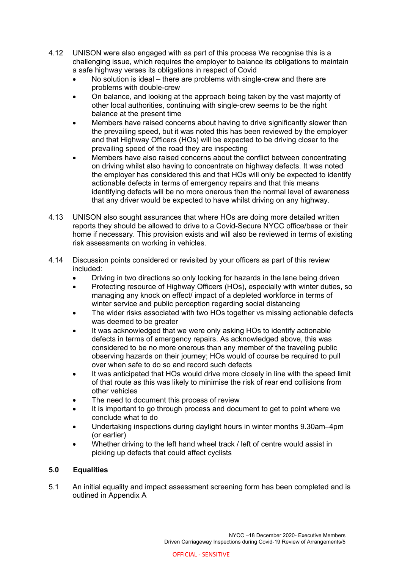- 4.12 UNISON were also engaged with as part of this process We recognise this is a challenging issue, which requires the employer to balance its obligations to maintain a safe highway verses its obligations in respect of Covid
	- No solution is ideal there are problems with single-crew and there are problems with double-crew
	- On balance, and looking at the approach being taken by the vast majority of other local authorities, continuing with single-crew seems to be the right balance at the present time
	- Members have raised concerns about having to drive significantly slower than the prevailing speed, but it was noted this has been reviewed by the employer and that Highway Officers (HOs) will be expected to be driving closer to the prevailing speed of the road they are inspecting
	- Members have also raised concerns about the conflict between concentrating on driving whilst also having to concentrate on highway defects. It was noted the employer has considered this and that HOs will only be expected to identify actionable defects in terms of emergency repairs and that this means identifying defects will be no more onerous then the normal level of awareness that any driver would be expected to have whilst driving on any highway.
- 4.13 UNISON also sought assurances that where HOs are doing more detailed written reports they should be allowed to drive to a Covid-Secure NYCC office/base or their home if necessary. This provision exists and will also be reviewed in terms of existing risk assessments on working in vehicles.
- 4.14 Discussion points considered or revisited by your officers as part of this review included:
	- Driving in two directions so only looking for hazards in the lane being driven
	- Protecting resource of Highway Officers (HOs), especially with winter duties, so managing any knock on effect/ impact of a depleted workforce in terms of winter service and public perception regarding social distancing
	- The wider risks associated with two HOs together vs missing actionable defects was deemed to be greater
	- It was acknowledged that we were only asking HOs to identify actionable defects in terms of emergency repairs. As acknowledged above, this was considered to be no more onerous than any member of the traveling public observing hazards on their journey; HOs would of course be required to pull over when safe to do so and record such defects
	- It was anticipated that HOs would drive more closely in line with the speed limit of that route as this was likely to minimise the risk of rear end collisions from other vehicles
	- The need to document this process of review
	- It is important to go through process and document to get to point where we conclude what to do
	- Undertaking inspections during daylight hours in winter months 9.30am–4pm (or earlier)
	- Whether driving to the left hand wheel track / left of centre would assist in picking up defects that could affect cyclists

# **5.0 Equalities**

5.1 An initial equality and impact assessment screening form has been completed and is outlined in Appendix A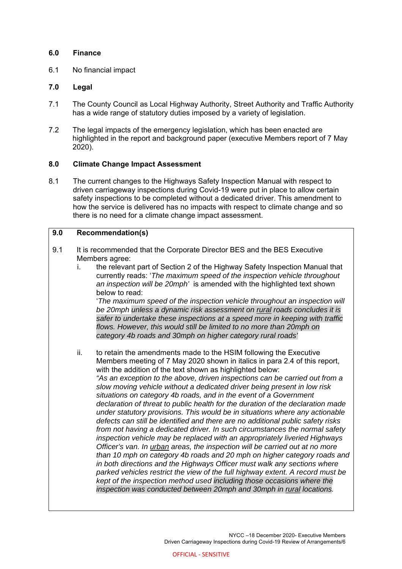## **6.0 Finance**

6.1 No financial impact

# **7.0 Legal**

- 7.1 The County Council as Local Highway Authority, Street Authority and Traffic Authority has a wide range of statutory duties imposed by a variety of legislation.
- 7.2 The legal impacts of the emergency legislation, which has been enacted are highlighted in the report and background paper (executive Members report of 7 May 2020).

## **8.0 Climate Change Impact Assessment**

8.1 The current changes to the Highways Safety Inspection Manual with respect to driven carriageway inspections during Covid-19 were put in place to allow certain safety inspections to be completed without a dedicated driver. This amendment to how the service is delivered has no impacts with respect to climate change and so there is no need for a climate change impact assessment.

# **9.0 Recommendation(s)**

- 9.1 It is recommended that the Corporate Director BES and the BES Executive Members agree:
	- i. the relevant part of Section 2 of the Highway Safety Inspection Manual that currently reads: '*The maximum speed of the inspection vehicle throughout an inspection will be 20mph'* is amended with the highlighted text shown below to read:

'*The maximum speed of the inspection vehicle throughout an inspection will be 20mph unless a dynamic risk assessment on rural roads concludes it is safer to undertake these inspections at a speed more in keeping with traffic flows. However, this would still be limited to no more than 20mph on category 4b roads and 30mph on higher category rural roads'*

ii. to retain the amendments made to the HSIM following the Executive Members meeting of 7 May 2020 shown in italics in para 2.4 of this report, with the addition of the text shown as highlighted below: *"As an exception to the above, driven inspections can be carried out from a slow moving vehicle without a dedicated driver being present in low risk situations on category 4b roads, and in the event of a Government declaration of threat to public health for the duration of the declaration made under statutory provisions. This would be in situations where any actionable defects can still be identified and there are no additional public safety risks from not having a dedicated driver. In such circumstances the normal safety inspection vehicle may be replaced with an appropriately liveried Highways Officer's van. In urban areas, the inspection will be carried out at no more than 10 mph on category 4b roads and 20 mph on higher category roads and in both directions and the Highways Officer must walk any sections where parked vehicles restrict the view of the full highway extent. A record must be kept of the inspection method used including those occasions where the inspection was conducted between 20mph and 30mph in rural locations.*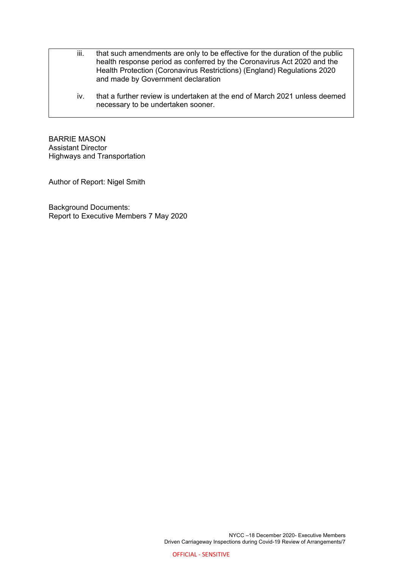- iii. that such amendments are only to be effective for the duration of the public health response period as conferred by the Coronavirus Act 2020 and the Health Protection (Coronavirus Restrictions) (England) Regulations 2020 and made by Government declaration
	- iv. that a further review is undertaken at the end of March 2021 unless deemed necessary to be undertaken sooner.

BARRIE MASON Assistant Director Highways and Transportation

Author of Report: Nigel Smith

Background Documents: Report to Executive Members 7 May 2020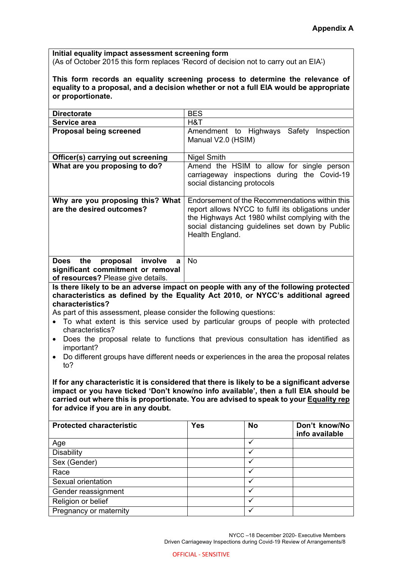**Initial equality impact assessment screening form**  (As of October 2015 this form replaces 'Record of decision not to carry out an EIA')

**This form records an equality screening process to determine the relevance of equality to a proposal, and a decision whether or not a full EIA would be appropriate or proportionate.** 

| <b>Directorate</b>                                                                                           | <b>BES</b>                                                                                                                                                                                                                    |  |
|--------------------------------------------------------------------------------------------------------------|-------------------------------------------------------------------------------------------------------------------------------------------------------------------------------------------------------------------------------|--|
| Service area                                                                                                 | H&T                                                                                                                                                                                                                           |  |
| <b>Proposal being screened</b>                                                                               | Safety<br>Amendment to Highways<br>Inspection<br>Manual V2.0 (HSIM)                                                                                                                                                           |  |
| Officer(s) carrying out screening                                                                            | <b>Nigel Smith</b>                                                                                                                                                                                                            |  |
| What are you proposing to do?                                                                                | Amend the HSIM to allow for single person<br>carriageway inspections during the Covid-19<br>social distancing protocols                                                                                                       |  |
| Why are you proposing this? What<br>are the desired outcomes?                                                | Endorsement of the Recommendations within this<br>report allows NYCC to fulfil its obligations under<br>the Highways Act 1980 whilst complying with the<br>social distancing guidelines set down by Public<br>Health England. |  |
| Does the<br>proposal involve<br>a<br>significant commitment or removal<br>of resources? Please give details. | No.                                                                                                                                                                                                                           |  |

**Is there likely to be an adverse impact on people with any of the following protected characteristics as defined by the Equality Act 2010, or NYCC's additional agreed characteristics?** 

As part of this assessment, please consider the following questions:

- To what extent is this service used by particular groups of people with protected characteristics?
- Does the proposal relate to functions that previous consultation has identified as important?
- Do different groups have different needs or experiences in the area the proposal relates to?

**If for any characteristic it is considered that there is likely to be a significant adverse impact or you have ticked 'Don't know/no info available', then a full EIA should be carried out where this is proportionate. You are advised to speak to your Equality rep for advice if you are in any doubt.** 

| <b>Protected characteristic</b> | <b>Yes</b> | <b>No</b> | Don't know/No<br>info available |
|---------------------------------|------------|-----------|---------------------------------|
| Age                             |            |           |                                 |
| Disability                      |            |           |                                 |
| Sex (Gender)                    |            |           |                                 |
| Race                            |            |           |                                 |
| Sexual orientation              |            |           |                                 |
| Gender reassignment             |            |           |                                 |
| Religion or belief              |            |           |                                 |
| Pregnancy or maternity          |            |           |                                 |